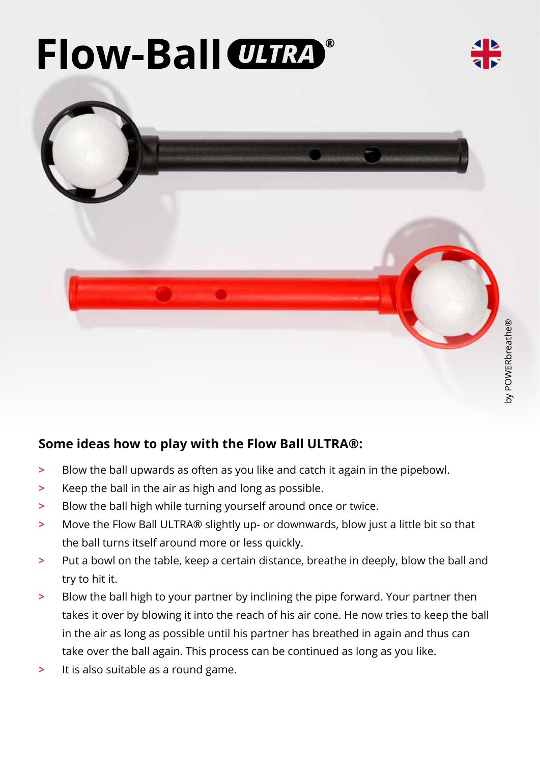# **Flow-Ball CLIRA**®



### **Some ideas how to play with the Flow Ball ULTRA®:**

- **>** Blow the ball upwards as often as you like and catch it again in the pipebowl.
- **>** Keep the ball in the air as high and long as possible.
- **>** Blow the ball high while turning yourself around once or twice.
- **>** Move the Flow Ball ULTRA® slightly up- or downwards, blow just a little bit so that the ball turns itself around more or less quickly.
- **>** Put a bowl on the table, keep a certain distance, breathe in deeply, blow the ball and try to hit it.
- **>** Blow the ball high to your partner by inclining the pipe forward. Your partner then takes it over by blowing it into the reach of his air cone. He now tries to keep the ball in the air as long as possible until his partner has breathed in again and thus can take over the ball again. This process can be continued as long as you like.
- **>** It is also suitable as a round game.